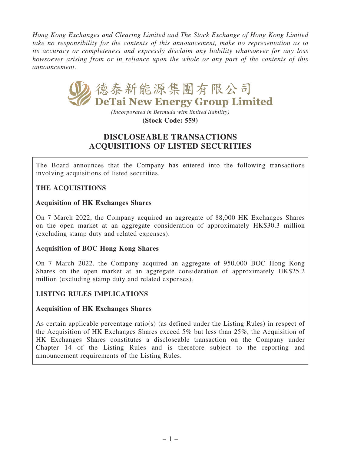Hong Kong Exchanges and Clearing Limited and The Stock Exchange of Hong Kong Limited take no responsibility for the contents of this announcement, make no representation as to its accuracy or completeness and expressly disclaim any liability whatsoever for any loss howsoever arising from or in reliance upon the whole or any part of the contents of this announcement.



*(Incorporated in Bermuda with limited liability)* **(Stock Code: 559)**

# DISCLOSEABLE TRANSACTIONS ACQUISITIONS OF LISTED SECURITIES

The Board announces that the Company has entered into the following transactions involving acquisitions of listed securities.

# THE ACQUISITIONS

### Acquisition of HK Exchanges Shares

On 7 March 2022, the Company acquired an aggregate of 88,000 HK Exchanges Shares on the open market at an aggregate consideration of approximately HK\$30.3 million (excluding stamp duty and related expenses).

### Acquisition of BOC Hong Kong Shares

On 7 March 2022, the Company acquired an aggregate of 950,000 BOC Hong Kong Shares on the open market at an aggregate consideration of approximately HK\$25.2 million (excluding stamp duty and related expenses).

### LISTING RULES IMPLICATIONS

### Acquisition of HK Exchanges Shares

As certain applicable percentage ratio(s) (as defined under the Listing Rules) in respect of the Acquisition of HK Exchanges Shares exceed 5% but less than 25%, the Acquisition of HK Exchanges Shares constitutes a discloseable transaction on the Company under Chapter 14 of the Listing Rules and is therefore subject to the reporting and announcement requirements of the Listing Rules.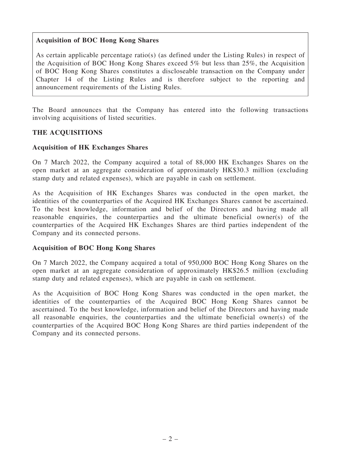### Acquisition of BOC Hong Kong Shares

As certain applicable percentage ratio(s) (as defined under the Listing Rules) in respect of the Acquisition of BOC Hong Kong Shares exceed 5% but less than 25%, the Acquisition of BOC Hong Kong Shares constitutes a discloseable transaction on the Company under Chapter 14 of the Listing Rules and is therefore subject to the reporting and announcement requirements of the Listing Rules.

The Board announces that the Company has entered into the following transactions involving acquisitions of listed securities.

### THE ACQUISITIONS

#### Acquisition of HK Exchanges Shares

On 7 March 2022, the Company acquired a total of 88,000 HK Exchanges Shares on the open market at an aggregate consideration of approximately HK\$30.3 million (excluding stamp duty and related expenses), which are payable in cash on settlement.

As the Acquisition of HK Exchanges Shares was conducted in the open market, the identities of the counterparties of the Acquired HK Exchanges Shares cannot be ascertained. To the best knowledge, information and belief of the Directors and having made all reasonable enquiries, the counterparties and the ultimate beneficial owner(s) of the counterparties of the Acquired HK Exchanges Shares are third parties independent of the Company and its connected persons.

#### Acquisition of BOC Hong Kong Shares

On 7 March 2022, the Company acquired a total of 950,000 BOC Hong Kong Shares on the open market at an aggregate consideration of approximately HK\$26.5 million (excluding stamp duty and related expenses), which are payable in cash on settlement.

As the Acquisition of BOC Hong Kong Shares was conducted in the open market, the identities of the counterparties of the Acquired BOC Hong Kong Shares cannot be ascertained. To the best knowledge, information and belief of the Directors and having made all reasonable enquiries, the counterparties and the ultimate beneficial owner(s) of the counterparties of the Acquired BOC Hong Kong Shares are third parties independent of the Company and its connected persons.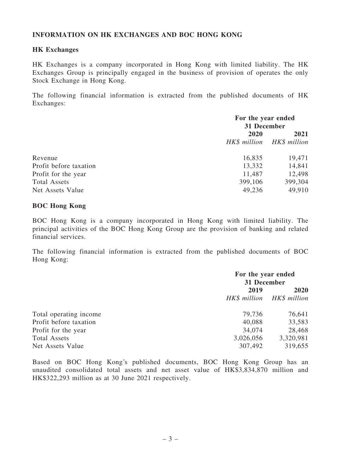### INFORMATION ON HK EXCHANGES AND BOC HONG KONG

#### HK Exchanges

HK Exchanges is a company incorporated in Hong Kong with limited liability. The HK Exchanges Group is principally engaged in the business of provision of operates the only Stock Exchange in Hong Kong.

The following financial information is extracted from the published documents of HK Exchanges:

|                        | For the year ended<br>31 December |         |
|------------------------|-----------------------------------|---------|
|                        |                                   |         |
|                        | 2020                              | 2021    |
|                        | HK\$ million HK\$ million         |         |
| Revenue                | 16,835                            | 19,471  |
| Profit before taxation | 13,332                            | 14,841  |
| Profit for the year    | 11,487                            | 12,498  |
| <b>Total Assets</b>    | 399,106                           | 399,304 |
| Net Assets Value       | 49,236                            | 49,910  |

#### BOC Hong Kong

BOC Hong Kong is a company incorporated in Hong Kong with limited liability. The principal activities of the BOC Hong Kong Group are the provision of banking and related financial services.

The following financial information is extracted from the published documents of BOC Hong Kong:

|                        | For the year ended<br>31 December |                           |
|------------------------|-----------------------------------|---------------------------|
|                        | 2019                              | 2020                      |
|                        |                                   | HK\$ million HK\$ million |
| Total operating income | 79,736                            | 76,641                    |
| Profit before taxation | 40,088                            | 33,583                    |
| Profit for the year    | 34,074                            | 28,468                    |
| <b>Total Assets</b>    | 3,026,056                         | 3,320,981                 |
| Net Assets Value       | 307,492                           | 319,655                   |

Based on BOC Hong Kong's published documents, BOC Hong Kong Group has an unaudited consolidated total assets and net asset value of HK\$3,834,870 million and HK\$322,293 million as at 30 June 2021 respectively.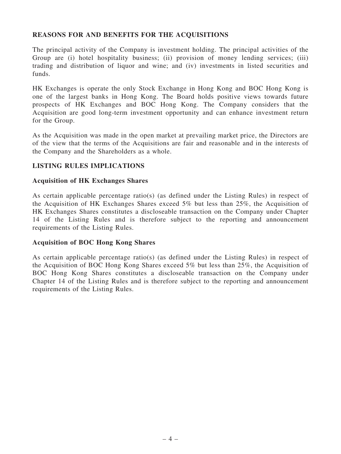### REASONS FOR AND BENEFITS FOR THE ACQUISITIONS

The principal activity of the Company is investment holding. The principal activities of the Group are (i) hotel hospitality business; (ii) provision of money lending services; (iii) trading and distribution of liquor and wine; and (iv) investments in listed securities and funds.

HK Exchanges is operate the only Stock Exchange in Hong Kong and BOC Hong Kong is one of the largest banks in Hong Kong. The Board holds positive views towards future prospects of HK Exchanges and BOC Hong Kong. The Company considers that the Acquisition are good long-term investment opportunity and can enhance investment return for the Group.

As the Acquisition was made in the open market at prevailing market price, the Directors are of the view that the terms of the Acquisitions are fair and reasonable and in the interests of the Company and the Shareholders as a whole.

### LISTING RULES IMPLICATIONS

#### Acquisition of HK Exchanges Shares

As certain applicable percentage ratio(s) (as defined under the Listing Rules) in respect of the Acquisition of HK Exchanges Shares exceed 5% but less than 25%, the Acquisition of HK Exchanges Shares constitutes a discloseable transaction on the Company under Chapter 14 of the Listing Rules and is therefore subject to the reporting and announcement requirements of the Listing Rules.

### Acquisition of BOC Hong Kong Shares

As certain applicable percentage ratio(s) (as defined under the Listing Rules) in respect of the Acquisition of BOC Hong Kong Shares exceed 5% but less than 25%, the Acquisition of BOC Hong Kong Shares constitutes a discloseable transaction on the Company under Chapter 14 of the Listing Rules and is therefore subject to the reporting and announcement requirements of the Listing Rules.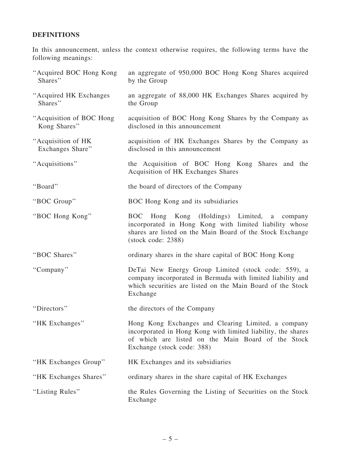# DEFINITIONS

In this announcement, unless the context otherwise requires, the following terms have the following meanings:

| "Acquired BOC Hong Kong<br>Shares"       | an aggregate of 950,000 BOC Hong Kong Shares acquired<br>by the Group                                                                                                                                          |
|------------------------------------------|----------------------------------------------------------------------------------------------------------------------------------------------------------------------------------------------------------------|
| "Acquired HK Exchanges"<br>Shares"       | an aggregate of 88,000 HK Exchanges Shares acquired by<br>the Group                                                                                                                                            |
| "Acquisition of BOC Hong<br>Kong Shares" | acquisition of BOC Hong Kong Shares by the Company as<br>disclosed in this announcement                                                                                                                        |
| "Acquisition of HK<br>Exchanges Share"   | acquisition of HK Exchanges Shares by the Company as<br>disclosed in this announcement                                                                                                                         |
| "Acquisitions"                           | the Acquisition of BOC Hong Kong Shares and the<br>Acquisition of HK Exchanges Shares                                                                                                                          |
| "Board"                                  | the board of directors of the Company                                                                                                                                                                          |
| "BOC Group"                              | BOC Hong Kong and its subsidiaries                                                                                                                                                                             |
| "BOC Hong Kong"                          | Hong Kong (Holdings) Limited,<br><b>BOC</b><br>a company<br>incorporated in Hong Kong with limited liability whose<br>shares are listed on the Main Board of the Stock Exchange<br>$(\text{stock code}: 2388)$ |
| "BOC Shares"                             | ordinary shares in the share capital of BOC Hong Kong                                                                                                                                                          |
| "Company"                                | DeTai New Energy Group Limited (stock code: 559), a<br>company incorporated in Bermuda with limited liability and<br>which securities are listed on the Main Board of the Stock<br>Exchange                    |
| "Directors"                              | the directors of the Company                                                                                                                                                                                   |
| "HK Exchanges"                           | Hong Kong Exchanges and Clearing Limited, a company<br>incorporated in Hong Kong with limited liability, the shares<br>of which are listed on the Main Board of the Stock<br>Exchange (stock code: 388)        |
| "HK Exchanges Group"                     | HK Exchanges and its subsidiaries                                                                                                                                                                              |
| "HK Exchanges Shares"                    | ordinary shares in the share capital of HK Exchanges                                                                                                                                                           |
| "Listing Rules"                          | the Rules Governing the Listing of Securities on the Stock<br>Exchange                                                                                                                                         |